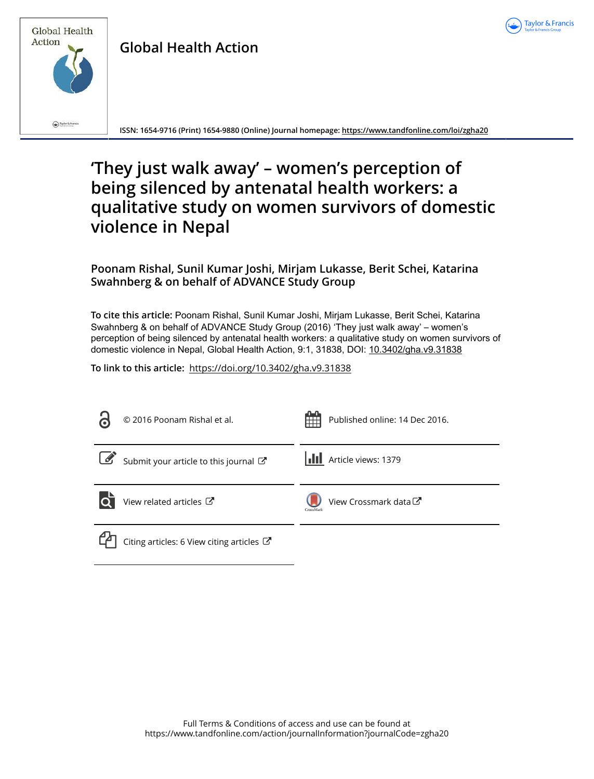



# **Global Health Action**

**ISSN: 1654-9716 (Print) 1654-9880 (Online) Journal homepage:<https://www.tandfonline.com/loi/zgha20>**

# **'They just walk away' – women's perception of being silenced by antenatal health workers: a qualitative study on women survivors of domestic violence in Nepal**

## **Poonam Rishal, Sunil Kumar Joshi, Mirjam Lukasse, Berit Schei, Katarina Swahnberg & on behalf of ADVANCE Study Group**

**To cite this article:** Poonam Rishal, Sunil Kumar Joshi, Mirjam Lukasse, Berit Schei, Katarina Swahnberg & on behalf of ADVANCE Study Group (2016) 'They just walk away' – women's perception of being silenced by antenatal health workers: a qualitative study on women survivors of domestic violence in Nepal, Global Health Action, 9:1, 31838, DOI: [10.3402/gha.v9.31838](https://www.tandfonline.com/action/showCitFormats?doi=10.3402/gha.v9.31838)

**To link to this article:** <https://doi.org/10.3402/gha.v9.31838>

| $\overline{\mathbf{c}}$ | © 2016 Poonam Rishal et al.               | Published online: 14 Dec 2016.<br>HH |
|-------------------------|-------------------------------------------|--------------------------------------|
| $\bigcup$               | Submit your article to this journal       | <b>III</b> Article views: 1379       |
|                         | View related articles C                   | View Crossmark data C<br>CrossMark   |
|                         | Citing articles: 6 View citing articles C |                                      |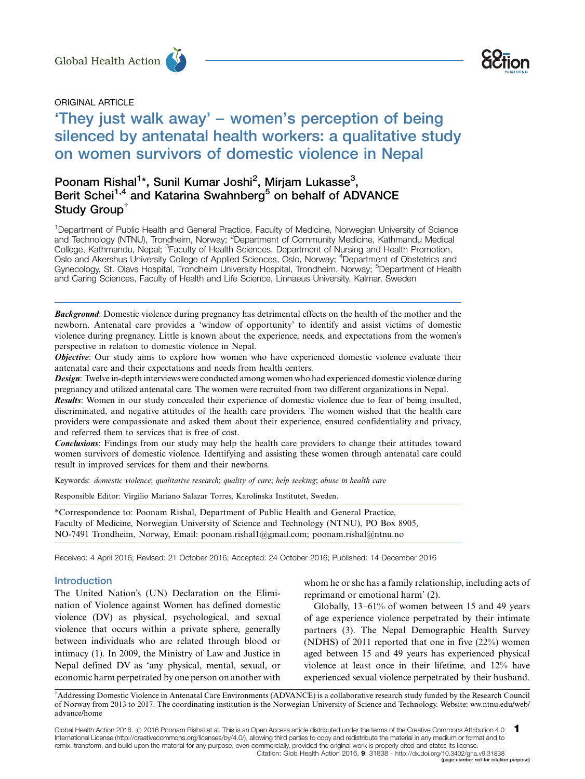





#### ORIGINAL ARTICLE

# 'They just walk away' - women's perception of being silenced by antenatal health workers: a qualitative study on women survivors of domestic violence in Nepal Global Health Action<br>
ORIGINAL ARTICLE<br>
"They just walk away' – women's perception of being

### Poonam Rishal<sup>1</sup>\*, Sunil Kumar Joshi<sup>2</sup>, Mirjam Lukasse<sup>3</sup>, Berit Schei<sup>1,4</sup> and Katarina Swahnberg<sup>5</sup> on behalf of ADVANCE Study Group<sup> $\dagger$ </sup>

<sup>1</sup>Department of Public Health and General Practice, Faculty of Medicine, Norwegian University of Science and Technology (NTNU), Trondheim, Norway; <sup>2</sup>Department of Community Medicine, Kathmandu Medical College, Kathmandu, Nepal; <sup>3</sup> Faculty of Health Sciences, Department of Nursing and Health Promotion, Oslo and Akershus University College of Applied Sciences, Oslo, Norway; <sup>4</sup>Department of Obstetrics and Gynecology, St. Olavs Hospital, Trondheim University Hospital, Trondheim, Norway; <sup>5</sup>Department of Health and Caring Sciences, Faculty of Health and Life Science, Linnaeus University, Kalmar, Sweden

**Background:** Domestic violence during pregnancy has detrimental effects on the health of the mother and the newborn. Antenatal care provides a 'window of opportunity' to identify and assist victims of domestic violence during pregnancy. Little is known about the experience, needs, and expectations from the women's perspective in relation to domestic violence in Nepal.

**Objective:** Our study aims to explore how women who have experienced domestic violence evaluate their antenatal care and their expectations and needs from health centers.

**Design:** Twelve in-depth interviews were conducted among women who had experienced domestic violence during pregnancy and utilized antenatal care. The women were recruited from two different organizations in Nepal.

Results: Women in our study concealed their experience of domestic violence due to fear of being insulted, discriminated, and negative attitudes of the health care providers. The women wished that the health care providers were compassionate and asked them about their experience, ensured confidentiality and privacy, and referred them to services that is free of cost.

Conclusions: Findings from our study may help the health care providers to change their attitudes toward women survivors of domestic violence. Identifying and assisting these women through antenatal care could result in improved services for them and their newborns.

Keywords: domestic violence; qualitative research; quality of care; help seeking; abuse in health care

Responsible Editor: Virgilio Mariano Salazar Torres, Karolinska Institutet, Sweden.

\*Correspondence to: Poonam Rishal, Department of Public Health and General Practice, Faculty of Medicine, Norwegian University of Science and Technology (NTNU), PO Box 8905, NO-7491 Trondheim, Norway, Email: poonam.rishal1@gmail.com; poonam.rishal@ntnu.no

Received: 4 April 2016; Revised: 21 October 2016; Accepted: 24 October 2016; Published: 14 December 2016

#### **Introduction**

The United Nation's (UN) Declaration on the Elimination of Violence against Women has defined domestic violence (DV) as physical, psychological, and sexual violence that occurs within a private sphere, generally between individuals who are related through blood or intimacy (1). In 2009, the Ministry of Law and Justice in Nepal defined DV as 'any physical, mental, sexual, or economic harm perpetrated by one person on another with

whom he or she has a family relationship, including acts of reprimand or emotional harm' (2).

Globally, 13-61% of women between 15 and 49 years of age experience violence perpetrated by their intimate partners (3). The Nepal Demographic Health Survey (NDHS) of 2011 reported that one in five (22%) women aged between 15 and 49 years has experienced physical violence at least once in their lifetime, and 12% have experienced sexual violence perpetrated by their husband.

<sup>†</sup>Addressing Domestic Violence in Antenatal Care Environments (ADVANCE) is a collaborative research study funded by the Research Council of Norway from 2013 to 2017. The coordinating institution is the Norwegian University of Science and Technology. Website: [ww.ntnu.edu/web/](http://ww.ntnu.edu/web/advance/home) [advance/home](http://ww.ntnu.edu/web/advance/home)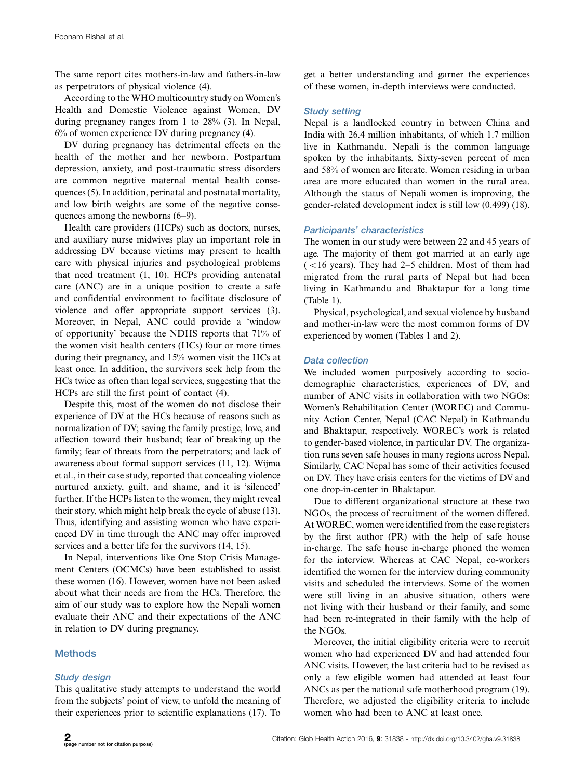The same report cites mothers-in-law and fathers-in-law as perpetrators of physical violence (4).

According to the WHO multicountry study on Women's Health and Domestic Violence against Women, DV during pregnancy ranges from 1 to 28% (3). In Nepal, 6% of women experience DV during pregnancy (4).

DV during pregnancy has detrimental effects on the health of the mother and her newborn. Postpartum depression, anxiety, and post-traumatic stress disorders are common negative maternal mental health consequences (5). In addition, perinatal and postnatal mortality, and low birth weights are some of the negative consequences among the newborns (6-9).

Health care providers (HCPs) such as doctors, nurses, and auxiliary nurse midwives play an important role in addressing DV because victims may present to health care with physical injuries and psychological problems that need treatment (1, 10). HCPs providing antenatal care (ANC) are in a unique position to create a safe and confidential environment to facilitate disclosure of violence and offer appropriate support services (3). Moreover, in Nepal, ANC could provide a 'window of opportunity' because the NDHS reports that 71% of the women visit health centers (HCs) four or more times during their pregnancy, and 15% women visit the HCs at least once. In addition, the survivors seek help from the HCs twice as often than legal services, suggesting that the HCPs are still the first point of contact (4).

Despite this, most of the women do not disclose their experience of DV at the HCs because of reasons such as normalization of DV; saving the family prestige, love, and affection toward their husband; fear of breaking up the family; fear of threats from the perpetrators; and lack of awareness about formal support services (11, 12). Wijma et al., in their case study, reported that concealing violence nurtured anxiety, guilt, and shame, and it is 'silenced' further. If the HCPs listen to the women, they might reveal their story, which might help break the cycle of abuse (13). Thus, identifying and assisting women who have experienced DV in time through the ANC may offer improved services and a better life for the survivors (14, 15).

In Nepal, interventions like One Stop Crisis Management Centers (OCMCs) have been established to assist these women (16). However, women have not been asked about what their needs are from the HCs. Therefore, the aim of our study was to explore how the Nepali women evaluate their ANC and their expectations of the ANC in relation to DV during pregnancy.

#### Methods

#### Study design

This qualitative study attempts to understand the world from the subjects' point of view, to unfold the meaning of their experiences prior to scientific explanations (17). To

get a better understanding and garner the experiences of these women, in-depth interviews were conducted.

#### Study setting

Nepal is a landlocked country in between China and India with 26.4 million inhabitants, of which 1.7 million live in Kathmandu. Nepali is the common language spoken by the inhabitants. Sixty-seven percent of men and 58% of women are literate. Women residing in urban area are more educated than women in the rural area. Although the status of Nepali women is improving, the gender-related development index is still low (0.499) (18).

#### Participants' characteristics

The women in our study were between 22 and 45 years of age. The majority of them got married at an early age  $($  < 16 years). They had 2–5 children. Most of them had migrated from the rural parts of Nepal but had been living in Kathmandu and Bhaktapur for a long time (Table 1).

Physical, psychological, and sexual violence by husband and mother-in-law were the most common forms of DV experienced by women (Tables 1 and 2).

#### Data collection

We included women purposively according to sociodemographic characteristics, experiences of DV, and number of ANC visits in collaboration with two NGOs: Women's Rehabilitation Center (WOREC) and Community Action Center, Nepal (CAC Nepal) in Kathmandu and Bhaktapur, respectively. WOREC's work is related to gender-based violence, in particular DV. The organization runs seven safe houses in many regions across Nepal. Similarly, CAC Nepal has some of their activities focused on DV. They have crisis centers for the victims of DV and one drop-in-center in Bhaktapur.

Due to different organizational structure at these two NGOs, the process of recruitment of the women differed. At WOREC, women were identified from the case registers by the first author (PR) with the help of safe house in-charge. The safe house in-charge phoned the women for the interview. Whereas at CAC Nepal, co-workers identified the women for the interview during community visits and scheduled the interviews. Some of the women were still living in an abusive situation, others were not living with their husband or their family, and some had been re-integrated in their family with the help of the NGOs.

Moreover, the initial eligibility criteria were to recruit women who had experienced DV and had attended four ANC visits. However, the last criteria had to be revised as only a few eligible women had attended at least four ANCs as per the national safe motherhood program (19). Therefore, we adjusted the eligibility criteria to include women who had been to ANC at least once.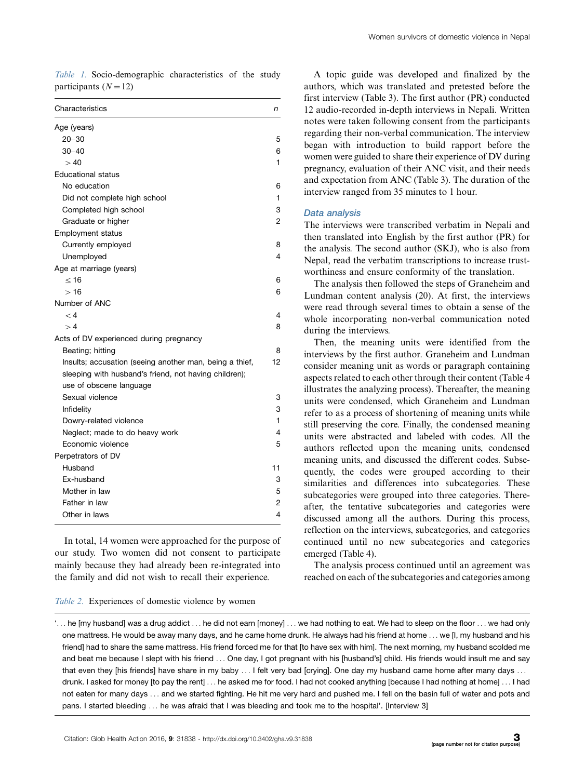| Characteristics                                         | n  |
|---------------------------------------------------------|----|
| Age (years)                                             |    |
| $20 - 30$                                               | 5  |
| $30 - 40$                                               | 6  |
| >40                                                     | 1  |
| <b>Educational status</b>                               |    |
| No education                                            | 6  |
| Did not complete high school                            | 1  |
| Completed high school                                   | 3  |
| Graduate or higher                                      | 2  |
| <b>Employment status</b>                                |    |
| Currently employed                                      | 8  |
| Unemployed                                              | 4  |
| Age at marriage (years)                                 |    |
| $\leq 16$                                               | 6  |
| >16                                                     | 6  |
| Number of ANC                                           |    |
| $\lt 4$                                                 | 4  |
| >4                                                      | 8  |
| Acts of DV experienced during pregnancy                 |    |
| Beating; hitting                                        | 8  |
| Insults; accusation (seeing another man, being a thief, | 12 |
| sleeping with husband's friend, not having children);   |    |
| use of obscene language                                 |    |
| Sexual violence                                         | 3  |
| Infidelity                                              | 3  |
| Dowry-related violence                                  | 1  |
| Neglect; made to do heavy work                          | 4  |
| Economic violence                                       | 5  |
| Perpetrators of DV                                      |    |
| Husband                                                 | 11 |
| Ex-husband                                              | 3  |
| Mother in law                                           | 5  |
| Father in law                                           | 2  |
| Other in laws                                           | 4  |

Table 1. Socio-demographic characteristics of the study participants  $(N=12)$ 

In total, 14 women were approached for the purpose of our study. Two women did not consent to participate mainly because they had already been re-integrated into the family and did not wish to recall their experience.

Table 2. Experiences of domestic violence by women

A topic guide was developed and finalized by the authors, which was translated and pretested before the first interview (Table 3). The first author (PR) conducted 12 audio-recorded in-depth interviews in Nepali. Written notes were taken following consent from the participants regarding their non-verbal communication. The interview began with introduction to build rapport before the women were guided to share their experience of DV during pregnancy, evaluation of their ANC visit, and their needs and expectation from ANC (Table 3). The duration of the interview ranged from 35 minutes to 1 hour.

#### Data analysis

The interviews were transcribed verbatim in Nepali and then translated into English by the first author (PR) for the analysis. The second author (SKJ), who is also from Nepal, read the verbatim transcriptions to increase trustworthiness and ensure conformity of the translation.

The analysis then followed the steps of Graneheim and Lundman content analysis (20). At first, the interviews were read through several times to obtain a sense of the whole incorporating non-verbal communication noted during the interviews.

Then, the meaning units were identified from the interviews by the first author. Graneheim and Lundman consider meaning unit as words or paragraph containing aspects related to each other through their content (Table 4 illustrates the analyzing process). Thereafter, the meaning units were condensed, which Graneheim and Lundman refer to as a process of shortening of meaning units while still preserving the core. Finally, the condensed meaning units were abstracted and labeled with codes. All the authors reflected upon the meaning units, condensed meaning units, and discussed the different codes. Subsequently, the codes were grouped according to their similarities and differences into subcategories. These subcategories were grouped into three categories. Thereafter, the tentative subcategories and categories were discussed among all the authors. During this process, reflection on the interviews, subcategories, and categories continued until no new subcategories and categories emerged (Table 4).

The analysis process continued until an agreement was reached on each of the subcategories and categories among

'... he [my husband] was a drug addict ... he did not earn [money] ... we had nothing to eat. We had to sleep on the floor ... we had only one mattress. He would be away many days, and he came home drunk. He always had his friend at home ... we [I, my husband and his friend] had to share the same mattress. His friend forced me for that [to have sex with him]. The next morning, my husband scolded me and beat me because I slept with his friend ... One day, I got pregnant with his [husband's] child. His friends would insult me and say that even they [his friends] have share in my baby ... I felt very bad [crying]. One day my husband came home after many days ... drunk. I asked for money [to pay the rent] ... he asked me for food. I had not cooked anything [because I had nothing at home] ... I had not eaten for many days ... and we started fighting. He hit me very hard and pushed me. I fell on the basin full of water and pots and pans. I started bleeding ... he was afraid that I was bleeding and took me to the hospital'. [Interview 3]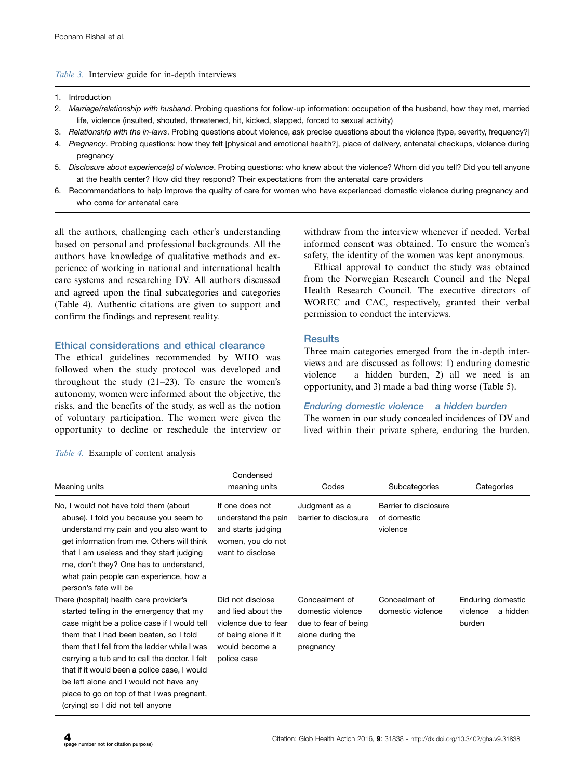#### Table 3. Interview guide for in-depth interviews

- 1. Introduction
- 2. Marriage/relationship with husband. Probing questions for follow-up information: occupation of the husband, how they met, married life, violence (insulted, shouted, threatened, hit, kicked, slapped, forced to sexual activity)
- 3. Relationship with the in-laws. Probing questions about violence, ask precise questions about the violence [type, severity, frequency?]
- 4. Pregnancy. Probing questions: how they felt [physical and emotional health?], place of delivery, antenatal checkups, violence during pregnancy
- 5. Disclosure about experience(s) of violence. Probing questions: who knew about the violence? Whom did you tell? Did you tell anyone at the health center? How did they respond? Their expectations from the antenatal care providers
- 6. Recommendations to help improve the quality of care for women who have experienced domestic violence during pregnancy and who come for antenatal care

all the authors, challenging each other's understanding based on personal and professional backgrounds. All the authors have knowledge of qualitative methods and experience of working in national and international health care systems and researching DV. All authors discussed and agreed upon the final subcategories and categories (Table 4). Authentic citations are given to support and confirm the findings and represent reality.

#### Ethical considerations and ethical clearance

The ethical guidelines recommended by WHO was followed when the study protocol was developed and throughout the study (21-23). To ensure the women's autonomy, women were informed about the objective, the risks, and the benefits of the study, as well as the notion of voluntary participation. The women were given the opportunity to decline or reschedule the interview or withdraw from the interview whenever if needed. Verbal informed consent was obtained. To ensure the women's safety, the identity of the women was kept anonymous.

Ethical approval to conduct the study was obtained from the Norwegian Research Council and the Nepal Health Research Council. The executive directors of WOREC and CAC, respectively, granted their verbal permission to conduct the interviews.

#### **Results**

Three main categories emerged from the in-depth interviews and are discussed as follows: 1) enduring domestic violence - a hidden burden, 2) all we need is an opportunity, and 3) made a bad thing worse (Table 5).

#### Enduring domestic violence - a hidden burden

The women in our study concealed incidences of DV and lived within their private sphere, enduring the burden.

|  |  | Table 4. Example of content analysis |  |
|--|--|--------------------------------------|--|
|--|--|--------------------------------------|--|

| Meaning units                                                                                                                                                                                                                                                                                                                                                                                                                                              | Condensed<br>meaning units                                                                                              | Codes                                                                                        | Subcategories                                    | Categories                                                  |
|------------------------------------------------------------------------------------------------------------------------------------------------------------------------------------------------------------------------------------------------------------------------------------------------------------------------------------------------------------------------------------------------------------------------------------------------------------|-------------------------------------------------------------------------------------------------------------------------|----------------------------------------------------------------------------------------------|--------------------------------------------------|-------------------------------------------------------------|
| No, I would not have told them (about<br>abuse). I told you because you seem to<br>understand my pain and you also want to<br>get information from me. Others will think<br>that I am useless and they start judging<br>me, don't they? One has to understand,<br>what pain people can experience, how a<br>person's fate will be                                                                                                                          | If one does not<br>understand the pain<br>and starts judging<br>women, you do not<br>want to disclose                   | Judgment as a<br>barrier to disclosure                                                       | Barrier to disclosure<br>of domestic<br>violence |                                                             |
| There (hospital) health care provider's<br>started telling in the emergency that my<br>case might be a police case if I would tell<br>them that I had been beaten, so I told<br>them that I fell from the ladder while I was<br>carrying a tub and to call the doctor. I felt<br>that if it would been a police case, I would<br>be left alone and I would not have any<br>place to go on top of that I was pregnant,<br>(crying) so I did not tell anyone | Did not disclose<br>and lied about the<br>violence due to fear<br>of being alone if it<br>would become a<br>police case | Concealment of<br>domestic violence<br>due to fear of being<br>alone during the<br>pregnancy | Concealment of<br>domestic violence              | <b>Enduring domestic</b><br>violence $-$ a hidden<br>burden |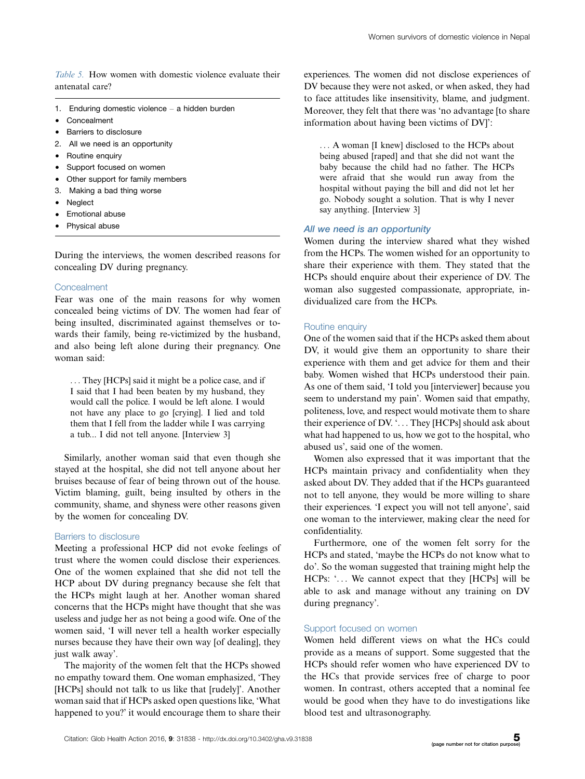Table 5. How women with domestic violence evaluate their antenatal care?

- 1. Enduring domestic violence a hidden burden
- Concealment
- Barriers to disclosure
- 2. All we need is an opportunity
- Routine enquiry
- Support focused on women
- Other support for family members
- 3. Making a bad thing worse
- Neglect
- Emotional abuse
- Physical abuse

During the interviews, the women described reasons for concealing DV during pregnancy.

#### **Concealment**

Fear was one of the main reasons for why women concealed being victims of DV. The women had fear of being insulted, discriminated against themselves or towards their family, being re-victimized by the husband, and also being left alone during their pregnancy. One woman said:

... They [HCPs] said it might be a police case, and if I said that I had been beaten by my husband, they would call the police. I would be left alone. I would not have any place to go [crying]. I lied and told them that I fell from the ladder while I was carrying a tub... I did not tell anyone. [Interview 3]

Similarly, another woman said that even though she stayed at the hospital, she did not tell anyone about her bruises because of fear of being thrown out of the house. Victim blaming, guilt, being insulted by others in the community, shame, and shyness were other reasons given by the women for concealing DV.

#### Barriers to disclosure

Meeting a professional HCP did not evoke feelings of trust where the women could disclose their experiences. One of the women explained that she did not tell the HCP about DV during pregnancy because she felt that the HCPs might laugh at her. Another woman shared concerns that the HCPs might have thought that she was useless and judge her as not being a good wife. One of the women said, 'I will never tell a health worker especially nurses because they have their own way [of dealing], they just walk away'.

The majority of the women felt that the HCPs showed no empathy toward them. One woman emphasized, 'They [HCPs] should not talk to us like that [rudely]'. Another woman said that if HCPs asked open questions like, 'What happened to you?' it would encourage them to share their experiences. The women did not disclose experiences of DV because they were not asked, or when asked, they had to face attitudes like insensitivity, blame, and judgment. Moreover, they felt that there was 'no advantage [to share information about having been victims of DV]':

... A woman [I knew] disclosed to the HCPs about being abused [raped] and that she did not want the baby because the child had no father. The HCPs were afraid that she would run away from the hospital without paying the bill and did not let her go. Nobody sought a solution. That is why I never say anything. [Interview 3]

#### All we need is an opportunity

Women during the interview shared what they wished from the HCPs. The women wished for an opportunity to share their experience with them. They stated that the HCPs should enquire about their experience of DV. The woman also suggested compassionate, appropriate, individualized care from the HCPs.

#### Routine enquiry

One of the women said that if the HCPs asked them about DV, it would give them an opportunity to share their experience with them and get advice for them and their baby. Women wished that HCPs understood their pain. As one of them said, 'I told you [interviewer] because you seem to understand my pain'. Women said that empathy, politeness, love, and respect would motivate them to share their experience of DV. '... They [HCPs] should ask about what had happened to us, how we got to the hospital, who abused us', said one of the women.

Women also expressed that it was important that the HCPs maintain privacy and confidentiality when they asked about DV. They added that if the HCPs guaranteed not to tell anyone, they would be more willing to share their experiences. 'I expect you will not tell anyone', said one woman to the interviewer, making clear the need for confidentiality.

Furthermore, one of the women felt sorry for the HCPs and stated, 'maybe the HCPs do not know what to do'. So the woman suggested that training might help the HCPs: '... We cannot expect that they [HCPs] will be able to ask and manage without any training on DV during pregnancy'.

#### Support focused on women

Women held different views on what the HCs could provide as a means of support. Some suggested that the HCPs should refer women who have experienced DV to the HCs that provide services free of charge to poor women. In contrast, others accepted that a nominal fee would be good when they have to do investigations like blood test and ultrasonography.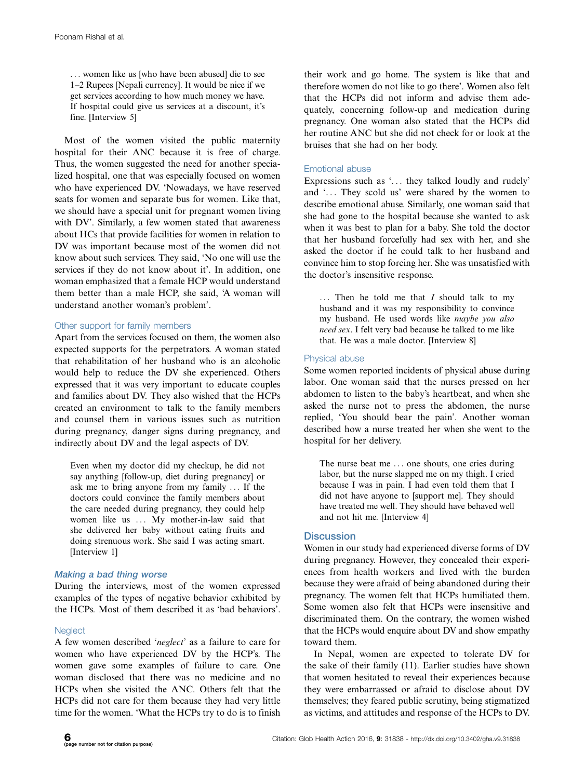... women like us [who have been abused] die to see 1-2 Rupees [Nepali currency]. It would be nice if we get services according to how much money we have. If hospital could give us services at a discount, it's fine. [Interview 5]

Most of the women visited the public maternity hospital for their ANC because it is free of charge. Thus, the women suggested the need for another specialized hospital, one that was especially focused on women who have experienced DV. 'Nowadays, we have reserved seats for women and separate bus for women. Like that, we should have a special unit for pregnant women living with DV'. Similarly, a few women stated that awareness about HCs that provide facilities for women in relation to DV was important because most of the women did not know about such services. They said, 'No one will use the services if they do not know about it'. In addition, one woman emphasized that a female HCP would understand them better than a male HCP, she said, 'A woman will understand another woman's problem'.

#### Other support for family members

Apart from the services focused on them, the women also expected supports for the perpetrators. A woman stated that rehabilitation of her husband who is an alcoholic would help to reduce the DV she experienced. Others expressed that it was very important to educate couples and families about DV. They also wished that the HCPs created an environment to talk to the family members and counsel them in various issues such as nutrition during pregnancy, danger signs during pregnancy, and indirectly about DV and the legal aspects of DV.

Even when my doctor did my checkup, he did not say anything [follow-up, diet during pregnancy] or ask me to bring anyone from my family ... If the doctors could convince the family members about the care needed during pregnancy, they could help women like us ... My mother-in-law said that she delivered her baby without eating fruits and doing strenuous work. She said I was acting smart. [Interview 1]

#### Making a bad thing worse

During the interviews, most of the women expressed examples of the types of negative behavior exhibited by the HCPs. Most of them described it as 'bad behaviors'.

#### **Neglect**

A few women described 'neglect' as a failure to care for women who have experienced DV by the HCP's. The women gave some examples of failure to care. One woman disclosed that there was no medicine and no HCPs when she visited the ANC. Others felt that the HCPs did not care for them because they had very little time for the women. 'What the HCPs try to do is to finish

their work and go home. The system is like that and therefore women do not like to go there'. Women also felt that the HCPs did not inform and advise them adequately, concerning follow-up and medication during pregnancy. One woman also stated that the HCPs did her routine ANC but she did not check for or look at the bruises that she had on her body.

#### Emotional abuse

Expressions such as '... they talked loudly and rudely' and '... They scold us' were shared by the women to describe emotional abuse. Similarly, one woman said that she had gone to the hospital because she wanted to ask when it was best to plan for a baby. She told the doctor that her husband forcefully had sex with her, and she asked the doctor if he could talk to her husband and convince him to stop forcing her. She was unsatisfied with the doctor's insensitive response.

 $\ldots$  Then he told me that I should talk to my husband and it was my responsibility to convince my husband. He used words like maybe you also need sex. I felt very bad because he talked to me like that. He was a male doctor. [Interview 8]

#### Physical abuse

Some women reported incidents of physical abuse during labor. One woman said that the nurses pressed on her abdomen to listen to the baby's heartbeat, and when she asked the nurse not to press the abdomen, the nurse replied, 'You should bear the pain'. Another woman described how a nurse treated her when she went to the hospital for her delivery.

The nurse beat me ... one shouts, one cries during labor, but the nurse slapped me on my thigh. I cried because I was in pain. I had even told them that I did not have anyone to [support me]. They should have treated me well. They should have behaved well and not hit me. [Interview 4]

#### **Discussion**

Women in our study had experienced diverse forms of DV during pregnancy. However, they concealed their experiences from health workers and lived with the burden because they were afraid of being abandoned during their pregnancy. The women felt that HCPs humiliated them. Some women also felt that HCPs were insensitive and discriminated them. On the contrary, the women wished that the HCPs would enquire about DV and show empathy toward them.

In Nepal, women are expected to tolerate DV for the sake of their family (11). Earlier studies have shown that women hesitated to reveal their experiences because they were embarrassed or afraid to disclose about DV themselves; they feared public scrutiny, being stigmatized as victims, and attitudes and response of the HCPs to DV.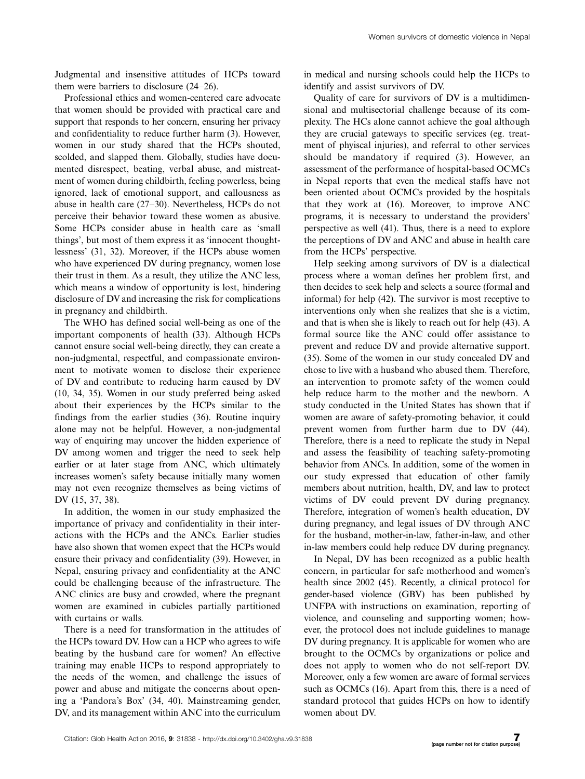Judgmental and insensitive attitudes of HCPs toward them were barriers to disclosure (24-26).

Professional ethics and women-centered care advocate that women should be provided with practical care and support that responds to her concern, ensuring her privacy and confidentiality to reduce further harm (3). However, women in our study shared that the HCPs shouted, scolded, and slapped them. Globally, studies have documented disrespect, beating, verbal abuse, and mistreatment of women during childbirth, feeling powerless, being ignored, lack of emotional support, and callousness as abuse in health care (27-30). Nevertheless, HCPs do not perceive their behavior toward these women as abusive. Some HCPs consider abuse in health care as 'small things', but most of them express it as 'innocent thoughtlessness' (31, 32). Moreover, if the HCPs abuse women who have experienced DV during pregnancy, women lose their trust in them. As a result, they utilize the ANC less, which means a window of opportunity is lost, hindering disclosure of DV and increasing the risk for complications in pregnancy and childbirth.

The WHO has defined social well-being as one of the important components of health (33). Although HCPs cannot ensure social well-being directly, they can create a non-judgmental, respectful, and compassionate environment to motivate women to disclose their experience of DV and contribute to reducing harm caused by DV (10, 34, 35). Women in our study preferred being asked about their experiences by the HCPs similar to the findings from the earlier studies (36). Routine inquiry alone may not be helpful. However, a non-judgmental way of enquiring may uncover the hidden experience of DV among women and trigger the need to seek help earlier or at later stage from ANC, which ultimately increases women's safety because initially many women may not even recognize themselves as being victims of DV (15, 37, 38).

In addition, the women in our study emphasized the importance of privacy and confidentiality in their interactions with the HCPs and the ANCs. Earlier studies have also shown that women expect that the HCPs would ensure their privacy and confidentiality (39). However, in Nepal, ensuring privacy and confidentiality at the ANC could be challenging because of the infrastructure. The ANC clinics are busy and crowded, where the pregnant women are examined in cubicles partially partitioned with curtains or walls.

There is a need for transformation in the attitudes of the HCPs toward DV. How can a HCP who agrees to wife beating by the husband care for women? An effective training may enable HCPs to respond appropriately to the needs of the women, and challenge the issues of power and abuse and mitigate the concerns about opening a 'Pandora's Box' (34, 40). Mainstreaming gender, DV, and its management within ANC into the curriculum

in medical and nursing schools could help the HCPs to identify and assist survivors of DV.

Quality of care for survivors of DV is a multidimensional and multisectorial challenge because of its complexity. The HCs alone cannot achieve the goal although they are crucial gateways to specific services (eg. treatment of phyiscal injuries), and referral to other services should be mandatory if required (3). However, an assessment of the performance of hospital-based OCMCs in Nepal reports that even the medical staffs have not been oriented about OCMCs provided by the hospitals that they work at (16). Moreover, to improve ANC programs, it is necessary to understand the providers' perspective as well (41). Thus, there is a need to explore the perceptions of DV and ANC and abuse in health care from the HCPs' perspective.

Help seeking among survivors of DV is a dialectical process where a woman defines her problem first, and then decides to seek help and selects a source (formal and informal) for help (42). The survivor is most receptive to interventions only when she realizes that she is a victim, and that is when she is likely to reach out for help (43). A formal source like the ANC could offer assistance to prevent and reduce DV and provide alternative support. (35). Some of the women in our study concealed DV and chose to live with a husband who abused them. Therefore, an intervention to promote safety of the women could help reduce harm to the mother and the newborn. A study conducted in the United States has shown that if women are aware of safety-promoting behavior, it could prevent women from further harm due to DV (44). Therefore, there is a need to replicate the study in Nepal and assess the feasibility of teaching safety-promoting behavior from ANCs. In addition, some of the women in our study expressed that education of other family members about nutrition, health, DV, and law to protect victims of DV could prevent DV during pregnancy. Therefore, integration of women's health education, DV during pregnancy, and legal issues of DV through ANC for the husband, mother-in-law, father-in-law, and other in-law members could help reduce DV during pregnancy.

In Nepal, DV has been recognized as a public health concern, in particular for safe motherhood and women's health since 2002 (45). Recently, a clinical protocol for gender-based violence (GBV) has been published by UNFPA with instructions on examination, reporting of violence, and counseling and supporting women; however, the protocol does not include guidelines to manage DV during pregnancy. It is applicable for women who are brought to the OCMCs by organizations or police and does not apply to women who do not self-report DV. Moreover, only a few women are aware of formal services such as OCMCs (16). Apart from this, there is a need of standard protocol that guides HCPs on how to identify women about DV.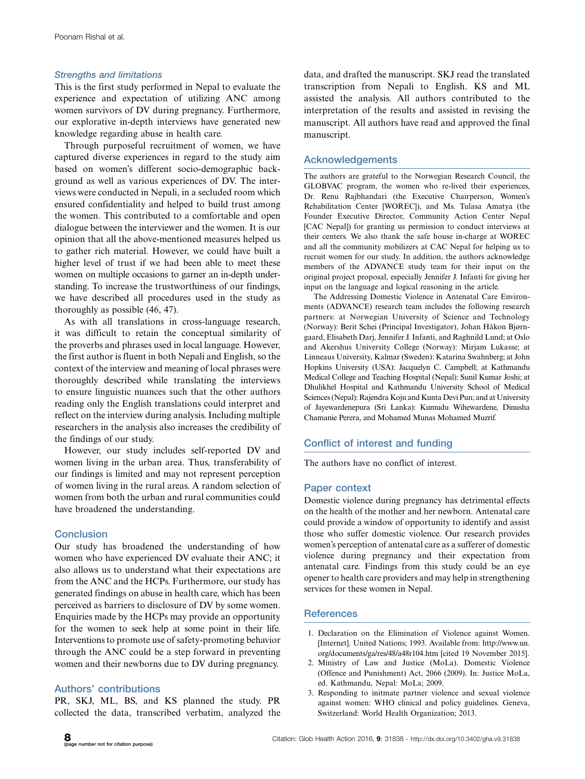#### Strengths and limitations

This is the first study performed in Nepal to evaluate the experience and expectation of utilizing ANC among women survivors of DV during pregnancy. Furthermore, our explorative in-depth interviews have generated new knowledge regarding abuse in health care.

Through purposeful recruitment of women, we have captured diverse experiences in regard to the study aim based on women's different socio-demographic background as well as various experiences of DV. The interviews were conducted in Nepali, in a secluded room which ensured confidentiality and helped to build trust among the women. This contributed to a comfortable and open dialogue between the interviewer and the women. It is our opinion that all the above-mentioned measures helped us to gather rich material. However, we could have built a higher level of trust if we had been able to meet these women on multiple occasions to garner an in-depth understanding. To increase the trustworthiness of our findings, we have described all procedures used in the study as thoroughly as possible (46, 47).

As with all translations in cross-language research, it was difficult to retain the conceptual similarity of the proverbs and phrases used in local language. However, the first author is fluent in both Nepali and English, so the context of the interview and meaning of local phrases were thoroughly described while translating the interviews to ensure linguistic nuances such that the other authors reading only the English translations could interpret and reflect on the interview during analysis. Including multiple researchers in the analysis also increases the credibility of the findings of our study.

However, our study includes self-reported DV and women living in the urban area. Thus, transferability of our findings is limited and may not represent perception of women living in the rural areas. A random selection of women from both the urban and rural communities could have broadened the understanding.

#### **Conclusion**

Our study has broadened the understanding of how women who have experienced DV evaluate their ANC; it also allows us to understand what their expectations are from the ANC and the HCPs. Furthermore, our study has generated findings on abuse in health care, which has been perceived as barriers to disclosure of DV by some women. Enquiries made by the HCPs may provide an opportunity for the women to seek help at some point in their life. Interventions to promote use of safety-promoting behavior through the ANC could be a step forward in preventing women and their newborns due to DV during pregnancy.

#### Authors' contributions

PR, SKJ, ML, BS, and KS planned the study. PR collected the data, transcribed verbatim, analyzed the data, and drafted the manuscript. SKJ read the translated transcription from Nepali to English. KS and ML assisted the analysis. All authors contributed to the interpretation of the results and assisted in revising the manuscript. All authors have read and approved the final manuscript.

#### Acknowledgements

The authors are grateful to the Norwegian Research Council, the GLOBVAC program, the women who re-lived their experiences, Dr. Renu Rajbhandari (the Executive Chairperson, Women's Rehabilitation Center [WOREC]), and Ms. Tulasa Amatya (the Founder Executive Director, Community Action Center Nepal [CAC Nepal]) for granting us permission to conduct interviews at their centers. We also thank the safe house in-charge at WOREC and all the community mobilizers at CAC Nepal for helping us to recruit women for our study. In addition, the authors acknowledge members of the ADVANCE study team for their input on the original project proposal, especially Jennifer J. Infanti for giving her input on the language and logical reasoning in the article.

The Addressing Domestic Violence in Antenatal Care Environments (ADVANCE) research team includes the following research partners: at Norwegian University of Science and Technology (Norway): Berit Schei (Principal Investigator), Johan Håkon Bjørngaard, Elisabeth Darj, Jennifer J. Infanti, and Raghnild Lund; at Oslo and Akershus University College (Norway): Mirjam Lukasse; at Linneaus University, Kalmar (Sweden): Katarina Swahnberg; at John Hopkins University (USA): Jacquelyn C. Campbell; at Kathmandu Medical College and Teaching Hospital (Nepal): Sunil Kumar Joshi; at Dhulikhel Hospital and Kathmandu University School of Medical Sciences (Nepal): Rajendra Koju and Kunta Devi Pun; and at University of Jayewardenepura (Sri Lanka): Kumudu Wihewardene, Dinusha Chamanie Perera, and Mohamed Munas Mohamed Muzrif.

#### Conflict of interest and funding

The authors have no conflict of interest.

#### Paper context

Domestic violence during pregnancy has detrimental effects on the health of the mother and her newborn. Antenatal care could provide a window of opportunity to identify and assist those who suffer domestic violence. Our research provides women's perception of antenatal care as a sufferer of domestic violence during pregnancy and their expectation from antenatal care. Findings from this study could be an eye opener to health care providers and may help in strengthening services for these women in Nepal.

#### **References**

- 1. Declaration on the Elimination of Violence against Women. [Internet]. United Nations; 1993. Available from: [http://www.un.](http://www.un.org/documents/ga/res/48/a48r104.htm) [org/documents/ga/res/48/a48r104.htm](http://www.un.org/documents/ga/res/48/a48r104.htm) [cited 19 November 2015].
- 2. Ministry of Law and Justice (MoLa). Domestic Violence (Offence and Punishment) Act, 2066 (2009). In: Justice MoLa, ed. Kathmandu, Nepal: MoLa; 2009.
- 3. Responding to initmate partner violence and sexual violence against women: WHO clinical and policy guidelines. Geneva, Switzerland: World Health Organization; 2013.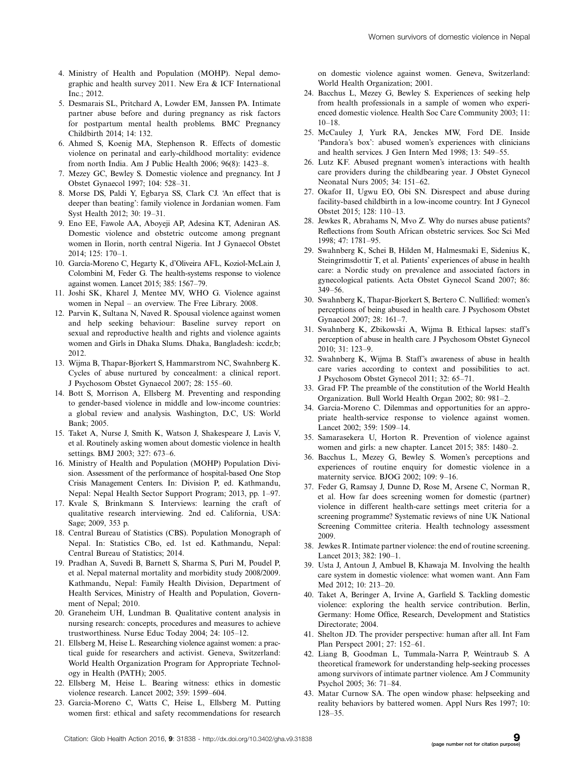- 4. Ministry of Health and Population (MOHP). Nepal demographic and health survey 2011. New Era & ICF International Inc.; 2012.
- 5. Desmarais SL, Pritchard A, Lowder EM, Janssen PA. Intimate partner abuse before and during pregnancy as risk factors for postpartum mental health problems. BMC Pregnancy Childbirth 2014; 14: 132.
- 6. Ahmed S, Koenig MA, Stephenson R. Effects of domestic violence on perinatal and early-childhood mortality: evidence from north India. Am J Public Health 2006; 96(8): 1423-8.
- 7. Mezey GC, Bewley S. Domestic violence and pregnancy. Int J Obstet Gynaecol 1997; 104: 528-31.
- 8. Morse DS, Paldi Y, Egbarya SS, Clark CJ. 'An effect that is deeper than beating': family violence in Jordanian women. Fam Syst Health 2012; 30: 19-31.
- 9. Eno EE, Fawole AA, Aboyeji AP, Adesina KT, Adeniran AS. Domestic violence and obstetric outcome among pregnant women in Ilorin, north central Nigeria. Int J Gynaecol Obstet 2014; 125: 170-1.
- 10. García-Moreno C, Hegarty K, d'Oliveira AFL, Koziol-McLain J, Colombini M, Feder G. The health-systems response to violence against women. Lancet 2015; 385: 1567-79.
- 11. Joshi SK, Kharel J, Mentee MV, WHO G. Violence against women in Nepal – an overview. The Free Library. 2008.
- 12. Parvin K, Sultana N, Naved R. Spousal violence against women and help seeking behaviour: Baseline survey report on sexual and reproductive health and rights and violence againts women and Girls in Dhaka Slums. Dhaka, Bangladesh: iccdr,b; 2012.
- 13. Wijma B, Thapar-Bjorkert S, Hammarstrom NC, Swahnberg K. Cycles of abuse nurtured by concealment: a clinical report. J Psychosom Obstet Gynaecol 2007; 28: 155-60.
- 14. Bott S, Morrison A, Ellsberg M. Preventing and responding to gender-based violence in middle and low-income countries: a global review and analysis. Washington, D.C, US: World Bank; 2005.
- 15. Taket A, Nurse J, Smith K, Watson J, Shakespeare J, Lavis V, et al. Routinely asking women about domestic violence in health settings. BMJ 2003; 327: 673-6.
- 16. Ministry of Health and Population (MOHP) Population Division. Assessment of the performance of hospital-based One Stop Crisis Management Centers. In: Division P, ed. Kathmandu, Nepal: Nepal Health Sector Support Program; 2013, pp. 1-97.
- 17. Kvale S, Brinkmann S. Interviews: learning the craft of qualitative research interviewing. 2nd ed. California, USA: Sage; 2009, 353 p.
- 18. Central Bureau of Statistics (CBS). Population Monograph of Nepal. In: Statistics CBo, ed. 1st ed. Kathmandu, Nepal: Central Bureau of Statistics; 2014.
- 19. Pradhan A, Suvedi B, Barnett S, Sharma S, Puri M, Poudel P, et al. Nepal maternal mortality and morbidity study 2008/2009. Kathmandu, Nepal: Family Health Division, Department of Health Services, Ministry of Health and Population, Government of Nepal; 2010.
- 20. Graneheim UH, Lundman B. Qualitative content analysis in nursing research: concepts, procedures and measures to achieve trustworthiness. Nurse Educ Today 2004; 24: 105-12.
- 21. Ellsberg M, Heise L. Researching violence against women: a practical guide for researchers and activist. Geneva, Switzerland: World Health Organization Program for Appropriate Technology in Health (PATH); 2005.
- 22. Ellsberg M, Heise L. Bearing witness: ethics in domestic violence research. Lancet 2002; 359: 1599-604.
- 23. Garcia-Moreno C, Watts C, Heise L, Ellsberg M. Putting women first: ethical and safety recommendations for research

on domestic violence against women. Geneva, Switzerland: World Health Organization; 2001.

- 24. Bacchus L, Mezey G, Bewley S. Experiences of seeking help from health professionals in a sample of women who experienced domestic violence. Health Soc Care Community 2003; 11:  $10 - 18$ .
- 25. McCauley J, Yurk RA, Jenckes MW, Ford DE. Inside 'Pandora's box': abused women's experiences with clinicians and health services. J Gen Intern Med 1998; 13: 549-55.
- 26. Lutz KF. Abused pregnant women's interactions with health care providers during the childbearing year. J Obstet Gynecol Neonatal Nurs 2005; 34: 151-62.
- 27. Okafor II, Ugwu EO, Obi SN. Disrespect and abuse during facility-based childbirth in a low-income country. Int J Gynecol Obstet 2015; 128: 110-13.
- 28. Jewkes R, Abrahams N, Mvo Z. Why do nurses abuse patients? Reflections from South African obstetric services. Soc Sci Med 1998; 47: 1781-95.
- 29. Swahnberg K, Schei B, Hilden M, Halmesmaki E, Sidenius K, Steingrimsdottir T, et al. Patients' experiences of abuse in health care: a Nordic study on prevalence and associated factors in gynecological patients. Acta Obstet Gynecol Scand 2007; 86: 349-56.
- 30. Swahnberg K, Thapar-Bjorkert S, Bertero C. Nullified: women's perceptions of being abused in health care. J Psychosom Obstet Gynaecol 2007; 28: 161-7.
- 31. Swahnberg K, Zbikowski A, Wijma B. Ethical lapses: staff's perception of abuse in health care. J Psychosom Obstet Gynecol 2010; 31: 123-9.
- 32. Swahnberg K, Wijma B. Staff's awareness of abuse in health care varies according to context and possibilities to act. J Psychosom Obstet Gynecol 2011; 32: 65-71.
- 33. Grad FP. The preamble of the constitution of the World Health Organization. Bull World Health Organ 2002; 80: 981-2.
- 34. Garcia-Moreno C. Dilemmas and opportunities for an appropriate health-service response to violence against women. Lancet 2002; 359: 1509-14.
- 35. Samarasekera U, Horton R. Prevention of violence against women and girls: a new chapter. Lancet 2015; 385: 1480-2.
- 36. Bacchus L, Mezey G, Bewley S. Women's perceptions and experiences of routine enquiry for domestic violence in a maternity service. BJOG 2002; 109: 9-16.
- 37. Feder G, Ramsay J, Dunne D, Rose M, Arsene C, Norman R, et al. How far does screening women for domestic (partner) violence in different health-care settings meet criteria for a screening programme? Systematic reviews of nine UK National Screening Committee criteria. Health technology assessment 2009.
- 38. Jewkes R. Intimate partner violence: the end of routine screening. Lancet 2013; 382: 190-1.
- 39. Usta J, Antoun J, Ambuel B, Khawaja M. Involving the health care system in domestic violence: what women want. Ann Fam Med 2012; 10: 213-20.
- 40. Taket A, Beringer A, Irvine A, Garfield S. Tackling domestic violence: exploring the health service contribution. Berlin, Germany: Home Office, Research, Development and Statistics Directorate; 2004.
- 41. Shelton JD. The provider perspective: human after all. Int Fam Plan Perspect 2001; 27: 152-61.
- 42. Liang B, Goodman L, Tummala-Narra P, Weintraub S. A theoretical framework for understanding help-seeking processes among survivors of intimate partner violence. Am J Community Psychol 2005; 36: 71-84.
- 43. Matar Curnow SA. The open window phase: helpseeking and reality behaviors by battered women. Appl Nurs Res 1997; 10: 128-35.